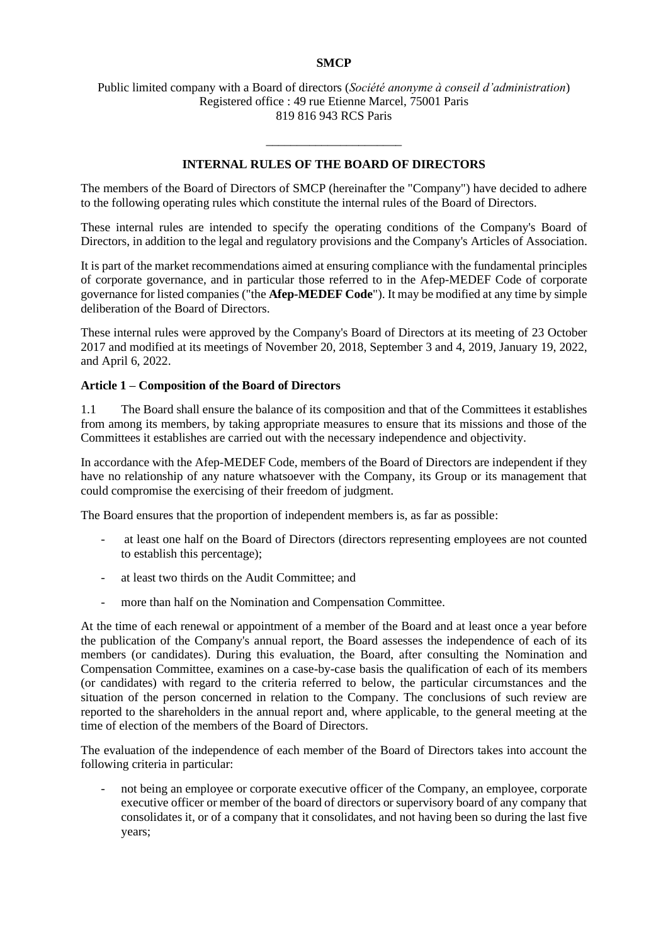### **SMCP**

#### Public limited company with a Board of directors (*Société anonyme à conseil d'administration*) Registered office : 49 rue Etienne Marcel, 75001 Paris 819 816 943 RCS Paris

### **INTERNAL RULES OF THE BOARD OF DIRECTORS**

\_\_\_\_\_\_\_\_\_\_\_\_\_\_\_\_\_\_\_\_\_\_

The members of the Board of Directors of SMCP (hereinafter the "Company") have decided to adhere to the following operating rules which constitute the internal rules of the Board of Directors.

These internal rules are intended to specify the operating conditions of the Company's Board of Directors, in addition to the legal and regulatory provisions and the Company's Articles of Association.

It is part of the market recommendations aimed at ensuring compliance with the fundamental principles of corporate governance, and in particular those referred to in the Afep-MEDEF Code of corporate governance for listed companies ("the **Afep-MEDEF Code**"). It may be modified at any time by simple deliberation of the Board of Directors.

These internal rules were approved by the Company's Board of Directors at its meeting of 23 October 2017 and modified at its meetings of November 20, 2018, September 3 and 4, 2019, January 19, 2022, and April 6, 2022.

#### **Article 1 – Composition of the Board of Directors**

1.1 The Board shall ensure the balance of its composition and that of the Committees it establishes from among its members, by taking appropriate measures to ensure that its missions and those of the Committees it establishes are carried out with the necessary independence and objectivity.

In accordance with the Afep-MEDEF Code, members of the Board of Directors are independent if they have no relationship of any nature whatsoever with the Company, its Group or its management that could compromise the exercising of their freedom of judgment.

The Board ensures that the proportion of independent members is, as far as possible:

- at least one half on the Board of Directors (directors representing employees are not counted to establish this percentage);
- at least two thirds on the Audit Committee; and
- more than half on the Nomination and Compensation Committee.

At the time of each renewal or appointment of a member of the Board and at least once a year before the publication of the Company's annual report, the Board assesses the independence of each of its members (or candidates). During this evaluation, the Board, after consulting the Nomination and Compensation Committee, examines on a case-by-case basis the qualification of each of its members (or candidates) with regard to the criteria referred to below, the particular circumstances and the situation of the person concerned in relation to the Company. The conclusions of such review are reported to the shareholders in the annual report and, where applicable, to the general meeting at the time of election of the members of the Board of Directors.

The evaluation of the independence of each member of the Board of Directors takes into account the following criteria in particular:

not being an employee or corporate executive officer of the Company, an employee, corporate executive officer or member of the board of directors or supervisory board of any company that consolidates it, or of a company that it consolidates, and not having been so during the last five years;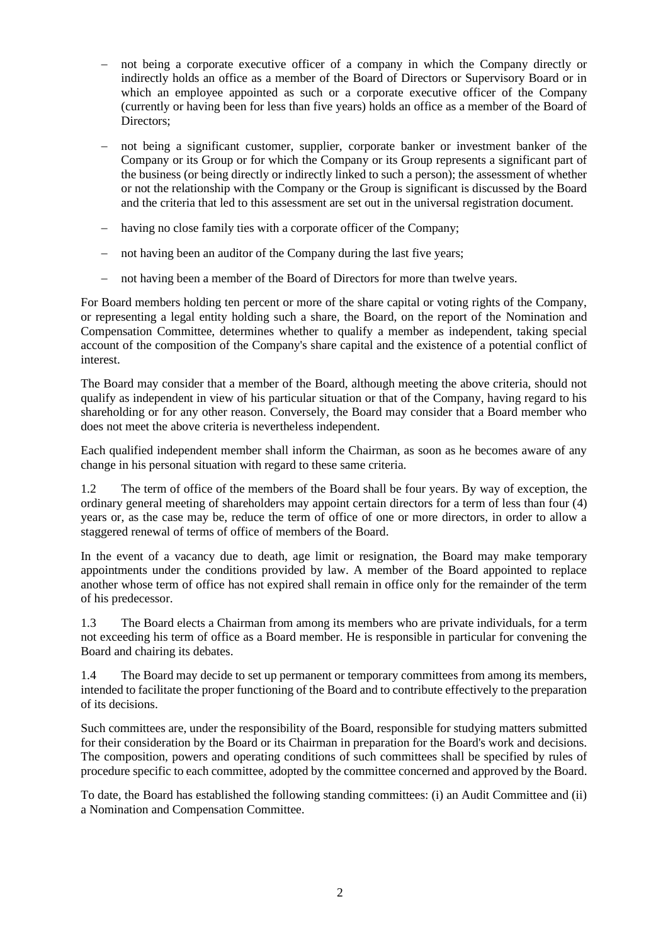- not being a corporate executive officer of a company in which the Company directly or indirectly holds an office as a member of the Board of Directors or Supervisory Board or in which an employee appointed as such or a corporate executive officer of the Company (currently or having been for less than five years) holds an office as a member of the Board of Directors;
- not being a significant customer, supplier, corporate banker or investment banker of the Company or its Group or for which the Company or its Group represents a significant part of the business (or being directly or indirectly linked to such a person); the assessment of whether or not the relationship with the Company or the Group is significant is discussed by the Board and the criteria that led to this assessment are set out in the universal registration document.
- − having no close family ties with a corporate officer of the Company;
- − not having been an auditor of the Company during the last five years;
- − not having been a member of the Board of Directors for more than twelve years.

For Board members holding ten percent or more of the share capital or voting rights of the Company, or representing a legal entity holding such a share, the Board, on the report of the Nomination and Compensation Committee, determines whether to qualify a member as independent, taking special account of the composition of the Company's share capital and the existence of a potential conflict of interest.

The Board may consider that a member of the Board, although meeting the above criteria, should not qualify as independent in view of his particular situation or that of the Company, having regard to his shareholding or for any other reason. Conversely, the Board may consider that a Board member who does not meet the above criteria is nevertheless independent.

Each qualified independent member shall inform the Chairman, as soon as he becomes aware of any change in his personal situation with regard to these same criteria.

1.2 The term of office of the members of the Board shall be four years. By way of exception, the ordinary general meeting of shareholders may appoint certain directors for a term of less than four (4) years or, as the case may be, reduce the term of office of one or more directors, in order to allow a staggered renewal of terms of office of members of the Board.

In the event of a vacancy due to death, age limit or resignation, the Board may make temporary appointments under the conditions provided by law. A member of the Board appointed to replace another whose term of office has not expired shall remain in office only for the remainder of the term of his predecessor.

1.3 The Board elects a Chairman from among its members who are private individuals, for a term not exceeding his term of office as a Board member. He is responsible in particular for convening the Board and chairing its debates.

1.4 The Board may decide to set up permanent or temporary committees from among its members, intended to facilitate the proper functioning of the Board and to contribute effectively to the preparation of its decisions.

Such committees are, under the responsibility of the Board, responsible for studying matters submitted for their consideration by the Board or its Chairman in preparation for the Board's work and decisions. The composition, powers and operating conditions of such committees shall be specified by rules of procedure specific to each committee, adopted by the committee concerned and approved by the Board.

To date, the Board has established the following standing committees: (i) an Audit Committee and (ii) a Nomination and Compensation Committee.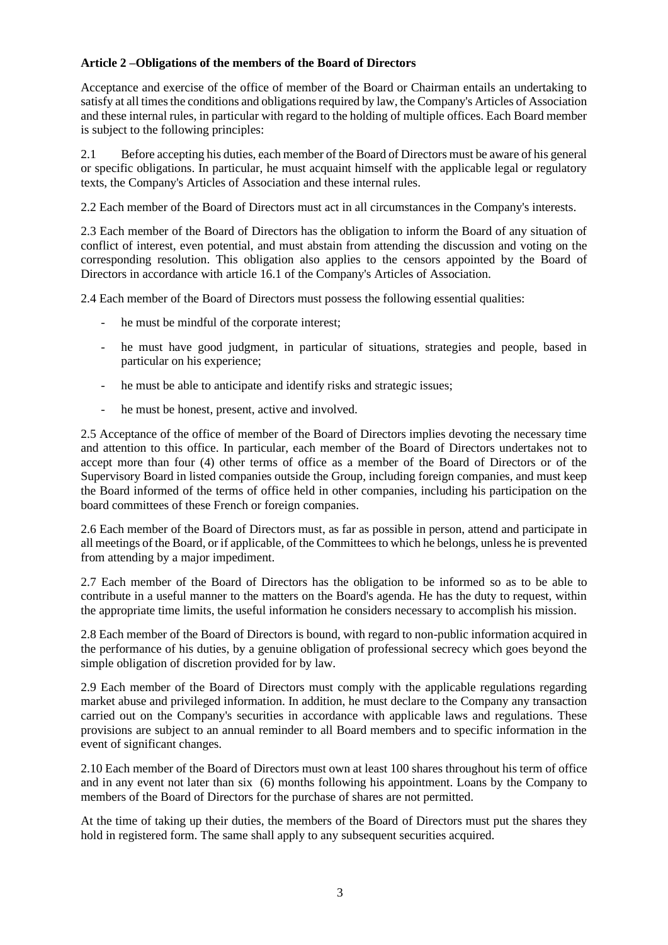# **Article 2 –Obligations of the members of the Board of Directors**

Acceptance and exercise of the office of member of the Board or Chairman entails an undertaking to satisfy at all times the conditions and obligations required by law, the Company's Articles of Association and these internal rules, in particular with regard to the holding of multiple offices. Each Board member is subject to the following principles:

2.1 Before accepting his duties, each member of the Board of Directors must be aware of his general or specific obligations. In particular, he must acquaint himself with the applicable legal or regulatory texts, the Company's Articles of Association and these internal rules.

2.2 Each member of the Board of Directors must act in all circumstances in the Company's interests.

2.3 Each member of the Board of Directors has the obligation to inform the Board of any situation of conflict of interest, even potential, and must abstain from attending the discussion and voting on the corresponding resolution. This obligation also applies to the censors appointed by the Board of Directors in accordance with article 16.1 of the Company's Articles of Association.

2.4 Each member of the Board of Directors must possess the following essential qualities:

- he must be mindful of the corporate interest;
- he must have good judgment, in particular of situations, strategies and people, based in particular on his experience;
- he must be able to anticipate and identify risks and strategic issues;
- he must be honest, present, active and involved.

2.5 Acceptance of the office of member of the Board of Directors implies devoting the necessary time and attention to this office. In particular, each member of the Board of Directors undertakes not to accept more than four (4) other terms of office as a member of the Board of Directors or of the Supervisory Board in listed companies outside the Group, including foreign companies, and must keep the Board informed of the terms of office held in other companies, including his participation on the board committees of these French or foreign companies.

2.6 Each member of the Board of Directors must, as far as possible in person, attend and participate in all meetings of the Board, or if applicable, of the Committees to which he belongs, unless he is prevented from attending by a major impediment.

2.7 Each member of the Board of Directors has the obligation to be informed so as to be able to contribute in a useful manner to the matters on the Board's agenda. He has the duty to request, within the appropriate time limits, the useful information he considers necessary to accomplish his mission.

2.8 Each member of the Board of Directors is bound, with regard to non-public information acquired in the performance of his duties, by a genuine obligation of professional secrecy which goes beyond the simple obligation of discretion provided for by law.

2.9 Each member of the Board of Directors must comply with the applicable regulations regarding market abuse and privileged information. In addition, he must declare to the Company any transaction carried out on the Company's securities in accordance with applicable laws and regulations. These provisions are subject to an annual reminder to all Board members and to specific information in the event of significant changes.

2.10 Each member of the Board of Directors must own at least 100 shares throughout his term of office and in any event not later than six (6) months following his appointment. Loans by the Company to members of the Board of Directors for the purchase of shares are not permitted.

At the time of taking up their duties, the members of the Board of Directors must put the shares they hold in registered form. The same shall apply to any subsequent securities acquired.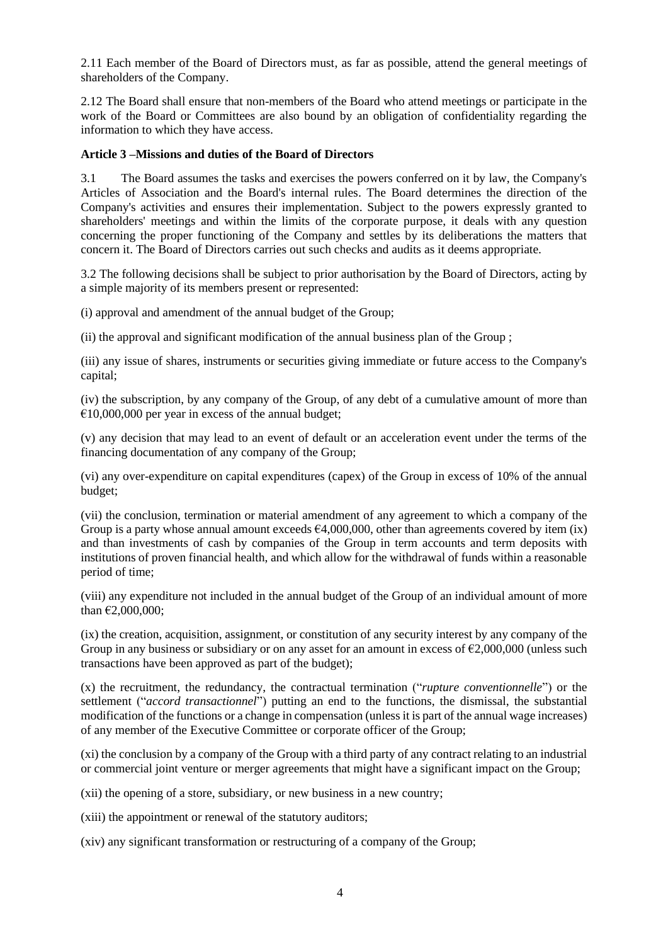2.11 Each member of the Board of Directors must, as far as possible, attend the general meetings of shareholders of the Company.

2.12 The Board shall ensure that non-members of the Board who attend meetings or participate in the work of the Board or Committees are also bound by an obligation of confidentiality regarding the information to which they have access.

### **Article 3 –Missions and duties of the Board of Directors**

3.1 The Board assumes the tasks and exercises the powers conferred on it by law, the Company's Articles of Association and the Board's internal rules. The Board determines the direction of the Company's activities and ensures their implementation. Subject to the powers expressly granted to shareholders' meetings and within the limits of the corporate purpose, it deals with any question concerning the proper functioning of the Company and settles by its deliberations the matters that concern it. The Board of Directors carries out such checks and audits as it deems appropriate.

3.2 The following decisions shall be subject to prior authorisation by the Board of Directors, acting by a simple majority of its members present or represented:

(i) approval and amendment of the annual budget of the Group;

(ii) the approval and significant modification of the annual business plan of the Group ;

(iii) any issue of shares, instruments or securities giving immediate or future access to the Company's capital;

(iv) the subscription, by any company of the Group, of any debt of a cumulative amount of more than  $€10,000,000$  per year in excess of the annual budget;

(v) any decision that may lead to an event of default or an acceleration event under the terms of the financing documentation of any company of the Group;

(vi) any over-expenditure on capital expenditures (capex) of the Group in excess of 10% of the annual budget;

(vii) the conclusion, termination or material amendment of any agreement to which a company of the Group is a party whose annual amount exceeds  $64,000,000$ , other than agreements covered by item (ix) and than investments of cash by companies of the Group in term accounts and term deposits with institutions of proven financial health, and which allow for the withdrawal of funds within a reasonable period of time;

(viii) any expenditure not included in the annual budget of the Group of an individual amount of more than  $\epsilon$ 2,000,000;

(ix) the creation, acquisition, assignment, or constitution of any security interest by any company of the Group in any business or subsidiary or on any asset for an amount in excess of  $\epsilon$ 2,000,000 (unless such transactions have been approved as part of the budget);

(x) the recruitment, the redundancy, the contractual termination ("*rupture conventionnelle*") or the settlement ("*accord transactionnel*") putting an end to the functions, the dismissal, the substantial modification of the functions or a change in compensation (unless it is part of the annual wage increases) of any member of the Executive Committee or corporate officer of the Group;

(xi) the conclusion by a company of the Group with a third party of any contract relating to an industrial or commercial joint venture or merger agreements that might have a significant impact on the Group;

(xii) the opening of a store, subsidiary, or new business in a new country;

(xiii) the appointment or renewal of the statutory auditors;

(xiv) any significant transformation or restructuring of a company of the Group;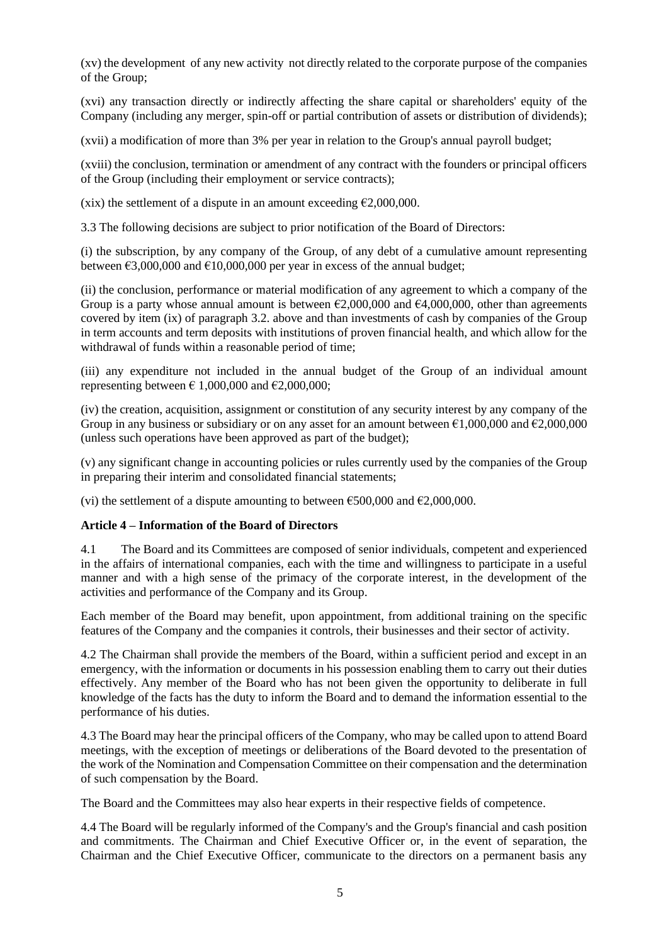(xv) the development of any new activity not directly related to the corporate purpose of the companies of the Group;

(xvi) any transaction directly or indirectly affecting the share capital or shareholders' equity of the Company (including any merger, spin-off or partial contribution of assets or distribution of dividends);

(xvii) a modification of more than 3% per year in relation to the Group's annual payroll budget;

(xviii) the conclusion, termination or amendment of any contract with the founders or principal officers of the Group (including their employment or service contracts);

(xix) the settlement of a dispute in an amount exceeding  $\epsilon$ 2,000,000.

3.3 The following decisions are subject to prior notification of the Board of Directors:

(i) the subscription, by any company of the Group, of any debt of a cumulative amount representing between  $\epsilon$ 3,000,000 and  $\epsilon$ 10,000,000 per year in excess of the annual budget;

(ii) the conclusion, performance or material modification of any agreement to which a company of the Group is a party whose annual amount is between  $\epsilon$ 2,000,000 and  $\epsilon$ 4,000,000, other than agreements covered by item (ix) of paragraph 3.2. above and than investments of cash by companies of the Group in term accounts and term deposits with institutions of proven financial health, and which allow for the withdrawal of funds within a reasonable period of time;

(iii) any expenditure not included in the annual budget of the Group of an individual amount representing between  $\epsilon$  1,000,000 and  $\epsilon$ 2,000,000;

(iv) the creation, acquisition, assignment or constitution of any security interest by any company of the Group in any business or subsidiary or on any asset for an amount between  $\epsilon$ 1,000,000 and  $\epsilon$ 2,000,000 (unless such operations have been approved as part of the budget);

(v) any significant change in accounting policies or rules currently used by the companies of the Group in preparing their interim and consolidated financial statements;

(vi) the settlement of a dispute amounting to between  $\epsilon$ 500,000 and  $\epsilon$ 2,000,000.

### **Article 4 – Information of the Board of Directors**

4.1 The Board and its Committees are composed of senior individuals, competent and experienced in the affairs of international companies, each with the time and willingness to participate in a useful manner and with a high sense of the primacy of the corporate interest, in the development of the activities and performance of the Company and its Group.

Each member of the Board may benefit, upon appointment, from additional training on the specific features of the Company and the companies it controls, their businesses and their sector of activity.

4.2 The Chairman shall provide the members of the Board, within a sufficient period and except in an emergency, with the information or documents in his possession enabling them to carry out their duties effectively. Any member of the Board who has not been given the opportunity to deliberate in full knowledge of the facts has the duty to inform the Board and to demand the information essential to the performance of his duties.

4.3 The Board may hear the principal officers of the Company, who may be called upon to attend Board meetings, with the exception of meetings or deliberations of the Board devoted to the presentation of the work of the Nomination and Compensation Committee on their compensation and the determination of such compensation by the Board.

The Board and the Committees may also hear experts in their respective fields of competence.

4.4 The Board will be regularly informed of the Company's and the Group's financial and cash position and commitments. The Chairman and Chief Executive Officer or, in the event of separation, the Chairman and the Chief Executive Officer, communicate to the directors on a permanent basis any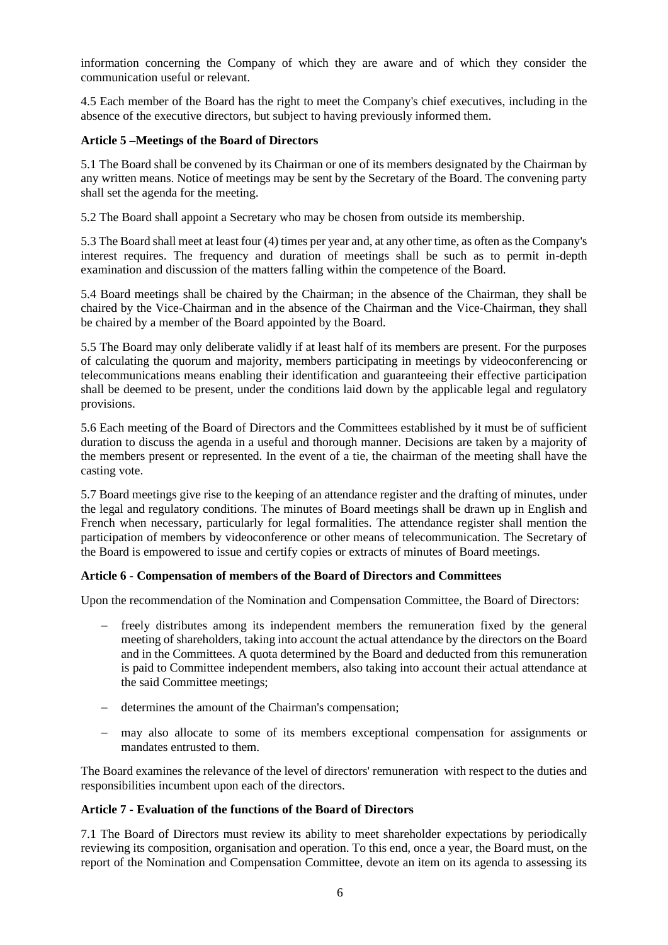information concerning the Company of which they are aware and of which they consider the communication useful or relevant.

4.5 Each member of the Board has the right to meet the Company's chief executives, including in the absence of the executive directors, but subject to having previously informed them.

### **Article 5 –Meetings of the Board of Directors**

5.1 The Board shall be convened by its Chairman or one of its members designated by the Chairman by any written means. Notice of meetings may be sent by the Secretary of the Board. The convening party shall set the agenda for the meeting.

5.2 The Board shall appoint a Secretary who may be chosen from outside its membership.

5.3 The Board shall meet at least four (4) times per year and, at any other time, as often as the Company's interest requires. The frequency and duration of meetings shall be such as to permit in-depth examination and discussion of the matters falling within the competence of the Board.

5.4 Board meetings shall be chaired by the Chairman; in the absence of the Chairman, they shall be chaired by the Vice-Chairman and in the absence of the Chairman and the Vice-Chairman, they shall be chaired by a member of the Board appointed by the Board.

5.5 The Board may only deliberate validly if at least half of its members are present. For the purposes of calculating the quorum and majority, members participating in meetings by videoconferencing or telecommunications means enabling their identification and guaranteeing their effective participation shall be deemed to be present, under the conditions laid down by the applicable legal and regulatory provisions.

5.6 Each meeting of the Board of Directors and the Committees established by it must be of sufficient duration to discuss the agenda in a useful and thorough manner. Decisions are taken by a majority of the members present or represented. In the event of a tie, the chairman of the meeting shall have the casting vote.

5.7 Board meetings give rise to the keeping of an attendance register and the drafting of minutes, under the legal and regulatory conditions. The minutes of Board meetings shall be drawn up in English and French when necessary, particularly for legal formalities. The attendance register shall mention the participation of members by videoconference or other means of telecommunication. The Secretary of the Board is empowered to issue and certify copies or extracts of minutes of Board meetings.

### **Article 6 - Compensation of members of the Board of Directors and Committees**

Upon the recommendation of the Nomination and Compensation Committee, the Board of Directors:

- freely distributes among its independent members the remuneration fixed by the general meeting of shareholders, taking into account the actual attendance by the directors on the Board and in the Committees. A quota determined by the Board and deducted from this remuneration is paid to Committee independent members, also taking into account their actual attendance at the said Committee meetings;
- − determines the amount of the Chairman's compensation;
- − may also allocate to some of its members exceptional compensation for assignments or mandates entrusted to them.

The Board examines the relevance of the level of directors' remuneration with respect to the duties and responsibilities incumbent upon each of the directors.

### **Article 7 - Evaluation of the functions of the Board of Directors**

7.1 The Board of Directors must review its ability to meet shareholder expectations by periodically reviewing its composition, organisation and operation. To this end, once a year, the Board must, on the report of the Nomination and Compensation Committee, devote an item on its agenda to assessing its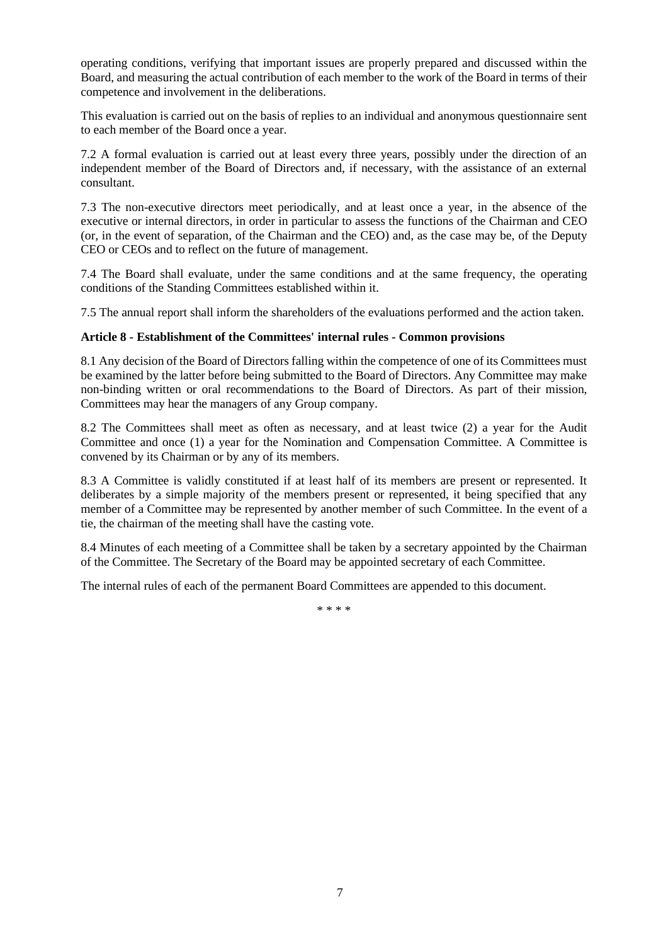operating conditions, verifying that important issues are properly prepared and discussed within the Board, and measuring the actual contribution of each member to the work of the Board in terms of their competence and involvement in the deliberations.

This evaluation is carried out on the basis of replies to an individual and anonymous questionnaire sent to each member of the Board once a year.

7.2 A formal evaluation is carried out at least every three years, possibly under the direction of an independent member of the Board of Directors and, if necessary, with the assistance of an external consultant.

7.3 The non-executive directors meet periodically, and at least once a year, in the absence of the executive or internal directors, in order in particular to assess the functions of the Chairman and CEO (or, in the event of separation, of the Chairman and the CEO) and, as the case may be, of the Deputy CEO or CEOs and to reflect on the future of management.

7.4 The Board shall evaluate, under the same conditions and at the same frequency, the operating conditions of the Standing Committees established within it.

7.5 The annual report shall inform the shareholders of the evaluations performed and the action taken.

### **Article 8 - Establishment of the Committees' internal rules - Common provisions**

8.1 Any decision of the Board of Directors falling within the competence of one of its Committees must be examined by the latter before being submitted to the Board of Directors. Any Committee may make non-binding written or oral recommendations to the Board of Directors. As part of their mission, Committees may hear the managers of any Group company.

8.2 The Committees shall meet as often as necessary, and at least twice (2) a year for the Audit Committee and once (1) a year for the Nomination and Compensation Committee. A Committee is convened by its Chairman or by any of its members.

8.3 A Committee is validly constituted if at least half of its members are present or represented. It deliberates by a simple majority of the members present or represented, it being specified that any member of a Committee may be represented by another member of such Committee. In the event of a tie, the chairman of the meeting shall have the casting vote.

8.4 Minutes of each meeting of a Committee shall be taken by a secretary appointed by the Chairman of the Committee. The Secretary of the Board may be appointed secretary of each Committee.

The internal rules of each of the permanent Board Committees are appended to this document.

\* \* \* \*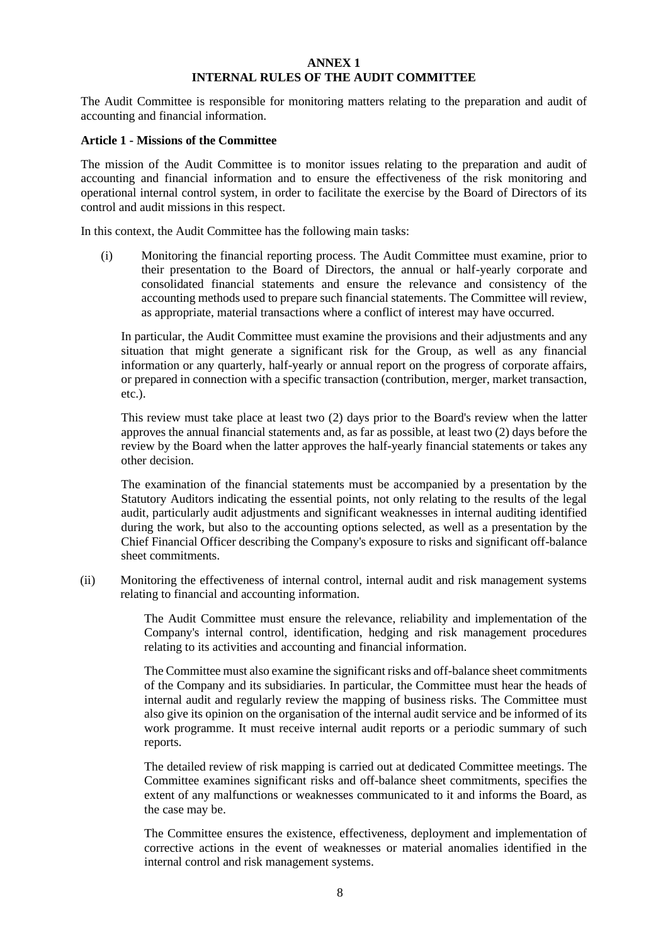#### **ANNEX 1 INTERNAL RULES OF THE AUDIT COMMITTEE**

The Audit Committee is responsible for monitoring matters relating to the preparation and audit of accounting and financial information.

#### **Article 1 - Missions of the Committee**

The mission of the Audit Committee is to monitor issues relating to the preparation and audit of accounting and financial information and to ensure the effectiveness of the risk monitoring and operational internal control system, in order to facilitate the exercise by the Board of Directors of its control and audit missions in this respect.

In this context, the Audit Committee has the following main tasks:

(i) Monitoring the financial reporting process. The Audit Committee must examine, prior to their presentation to the Board of Directors, the annual or half-yearly corporate and consolidated financial statements and ensure the relevance and consistency of the accounting methods used to prepare such financial statements. The Committee will review, as appropriate, material transactions where a conflict of interest may have occurred.

In particular, the Audit Committee must examine the provisions and their adjustments and any situation that might generate a significant risk for the Group, as well as any financial information or any quarterly, half-yearly or annual report on the progress of corporate affairs, or prepared in connection with a specific transaction (contribution, merger, market transaction, etc.).

This review must take place at least two (2) days prior to the Board's review when the latter approves the annual financial statements and, as far as possible, at least two (2) days before the review by the Board when the latter approves the half-yearly financial statements or takes any other decision.

The examination of the financial statements must be accompanied by a presentation by the Statutory Auditors indicating the essential points, not only relating to the results of the legal audit, particularly audit adjustments and significant weaknesses in internal auditing identified during the work, but also to the accounting options selected, as well as a presentation by the Chief Financial Officer describing the Company's exposure to risks and significant off-balance sheet commitments.

(ii) Monitoring the effectiveness of internal control, internal audit and risk management systems relating to financial and accounting information.

> The Audit Committee must ensure the relevance, reliability and implementation of the Company's internal control, identification, hedging and risk management procedures relating to its activities and accounting and financial information.

> The Committee must also examine the significant risks and off-balance sheet commitments of the Company and its subsidiaries. In particular, the Committee must hear the heads of internal audit and regularly review the mapping of business risks. The Committee must also give its opinion on the organisation of the internal audit service and be informed of its work programme. It must receive internal audit reports or a periodic summary of such reports.

> The detailed review of risk mapping is carried out at dedicated Committee meetings. The Committee examines significant risks and off-balance sheet commitments, specifies the extent of any malfunctions or weaknesses communicated to it and informs the Board, as the case may be.

> The Committee ensures the existence, effectiveness, deployment and implementation of corrective actions in the event of weaknesses or material anomalies identified in the internal control and risk management systems.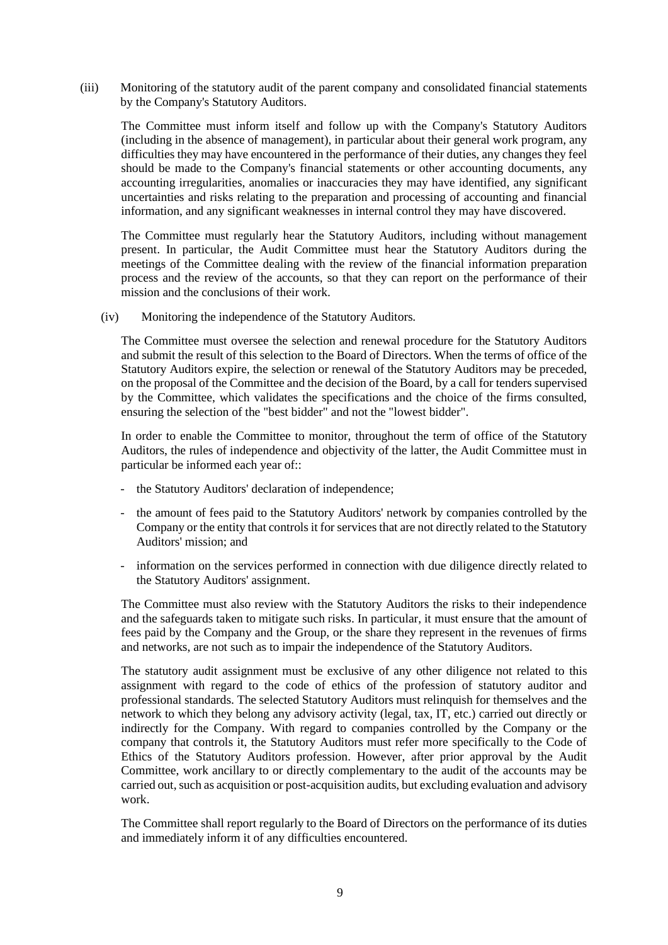(iii) Monitoring of the statutory audit of the parent company and consolidated financial statements by the Company's Statutory Auditors.

The Committee must inform itself and follow up with the Company's Statutory Auditors (including in the absence of management), in particular about their general work program, any difficulties they may have encountered in the performance of their duties, any changes they feel should be made to the Company's financial statements or other accounting documents, any accounting irregularities, anomalies or inaccuracies they may have identified, any significant uncertainties and risks relating to the preparation and processing of accounting and financial information, and any significant weaknesses in internal control they may have discovered.

The Committee must regularly hear the Statutory Auditors, including without management present. In particular, the Audit Committee must hear the Statutory Auditors during the meetings of the Committee dealing with the review of the financial information preparation process and the review of the accounts, so that they can report on the performance of their mission and the conclusions of their work.

(iv) Monitoring the independence of the Statutory Auditors.

The Committee must oversee the selection and renewal procedure for the Statutory Auditors and submit the result of this selection to the Board of Directors. When the terms of office of the Statutory Auditors expire, the selection or renewal of the Statutory Auditors may be preceded, on the proposal of the Committee and the decision of the Board, by a call for tenders supervised by the Committee, which validates the specifications and the choice of the firms consulted, ensuring the selection of the "best bidder" and not the "lowest bidder".

In order to enable the Committee to monitor, throughout the term of office of the Statutory Auditors, the rules of independence and objectivity of the latter, the Audit Committee must in particular be informed each year of::

- the Statutory Auditors' declaration of independence;
- the amount of fees paid to the Statutory Auditors' network by companies controlled by the Company or the entity that controls it for services that are not directly related to the Statutory Auditors' mission; and
- information on the services performed in connection with due diligence directly related to the Statutory Auditors' assignment.

The Committee must also review with the Statutory Auditors the risks to their independence and the safeguards taken to mitigate such risks. In particular, it must ensure that the amount of fees paid by the Company and the Group, or the share they represent in the revenues of firms and networks, are not such as to impair the independence of the Statutory Auditors.

The statutory audit assignment must be exclusive of any other diligence not related to this assignment with regard to the code of ethics of the profession of statutory auditor and professional standards. The selected Statutory Auditors must relinquish for themselves and the network to which they belong any advisory activity (legal, tax, IT, etc.) carried out directly or indirectly for the Company. With regard to companies controlled by the Company or the company that controls it, the Statutory Auditors must refer more specifically to the Code of Ethics of the Statutory Auditors profession. However, after prior approval by the Audit Committee, work ancillary to or directly complementary to the audit of the accounts may be carried out, such as acquisition or post-acquisition audits, but excluding evaluation and advisory work.

The Committee shall report regularly to the Board of Directors on the performance of its duties and immediately inform it of any difficulties encountered.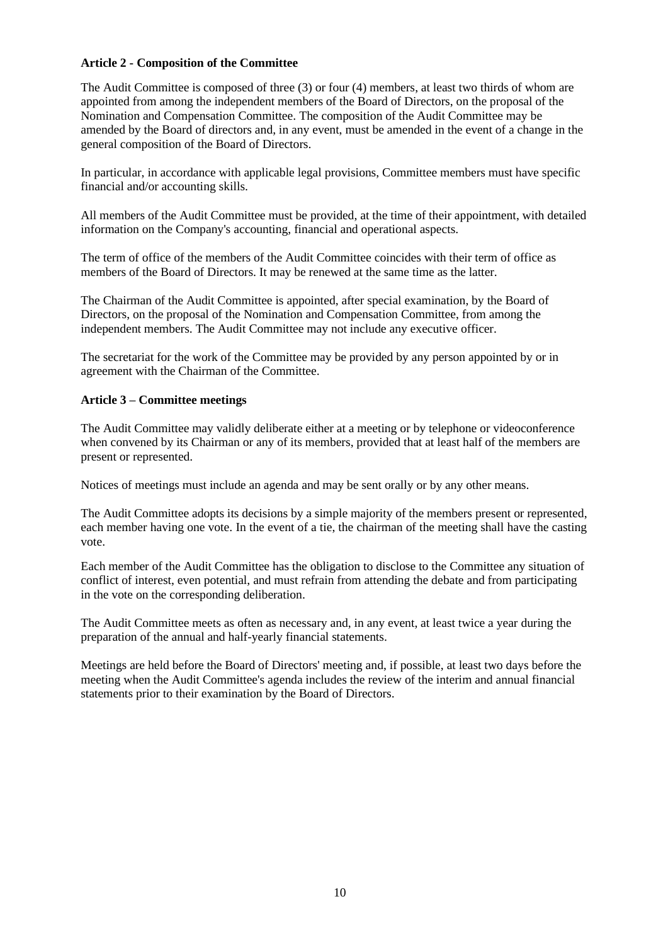## **Article 2 - Composition of the Committee**

The Audit Committee is composed of three (3) or four (4) members, at least two thirds of whom are appointed from among the independent members of the Board of Directors, on the proposal of the Nomination and Compensation Committee. The composition of the Audit Committee may be amended by the Board of directors and, in any event, must be amended in the event of a change in the general composition of the Board of Directors.

In particular, in accordance with applicable legal provisions, Committee members must have specific financial and/or accounting skills.

All members of the Audit Committee must be provided, at the time of their appointment, with detailed information on the Company's accounting, financial and operational aspects.

The term of office of the members of the Audit Committee coincides with their term of office as members of the Board of Directors. It may be renewed at the same time as the latter.

The Chairman of the Audit Committee is appointed, after special examination, by the Board of Directors, on the proposal of the Nomination and Compensation Committee, from among the independent members. The Audit Committee may not include any executive officer.

The secretariat for the work of the Committee may be provided by any person appointed by or in agreement with the Chairman of the Committee.

### **Article 3 – Committee meetings**

The Audit Committee may validly deliberate either at a meeting or by telephone or videoconference when convened by its Chairman or any of its members, provided that at least half of the members are present or represented.

Notices of meetings must include an agenda and may be sent orally or by any other means.

The Audit Committee adopts its decisions by a simple majority of the members present or represented, each member having one vote. In the event of a tie, the chairman of the meeting shall have the casting vote.

Each member of the Audit Committee has the obligation to disclose to the Committee any situation of conflict of interest, even potential, and must refrain from attending the debate and from participating in the vote on the corresponding deliberation.

The Audit Committee meets as often as necessary and, in any event, at least twice a year during the preparation of the annual and half-yearly financial statements.

Meetings are held before the Board of Directors' meeting and, if possible, at least two days before the meeting when the Audit Committee's agenda includes the review of the interim and annual financial statements prior to their examination by the Board of Directors.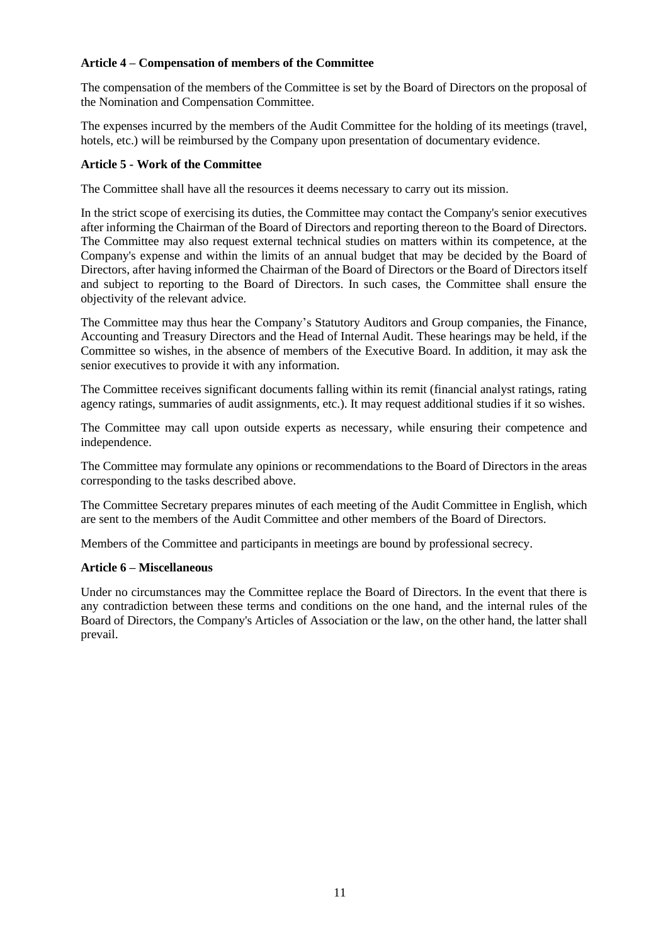## **Article 4 – Compensation of members of the Committee**

The compensation of the members of the Committee is set by the Board of Directors on the proposal of the Nomination and Compensation Committee.

The expenses incurred by the members of the Audit Committee for the holding of its meetings (travel, hotels, etc.) will be reimbursed by the Company upon presentation of documentary evidence.

### **Article 5 - Work of the Committee**

The Committee shall have all the resources it deems necessary to carry out its mission.

In the strict scope of exercising its duties, the Committee may contact the Company's senior executives after informing the Chairman of the Board of Directors and reporting thereon to the Board of Directors. The Committee may also request external technical studies on matters within its competence, at the Company's expense and within the limits of an annual budget that may be decided by the Board of Directors, after having informed the Chairman of the Board of Directors or the Board of Directors itself and subject to reporting to the Board of Directors. In such cases, the Committee shall ensure the objectivity of the relevant advice.

The Committee may thus hear the Company's Statutory Auditors and Group companies, the Finance, Accounting and Treasury Directors and the Head of Internal Audit. These hearings may be held, if the Committee so wishes, in the absence of members of the Executive Board. In addition, it may ask the senior executives to provide it with any information.

The Committee receives significant documents falling within its remit (financial analyst ratings, rating agency ratings, summaries of audit assignments, etc.). It may request additional studies if it so wishes.

The Committee may call upon outside experts as necessary, while ensuring their competence and independence.

The Committee may formulate any opinions or recommendations to the Board of Directors in the areas corresponding to the tasks described above.

The Committee Secretary prepares minutes of each meeting of the Audit Committee in English, which are sent to the members of the Audit Committee and other members of the Board of Directors.

Members of the Committee and participants in meetings are bound by professional secrecy.

### **Article 6 – Miscellaneous**

Under no circumstances may the Committee replace the Board of Directors. In the event that there is any contradiction between these terms and conditions on the one hand, and the internal rules of the Board of Directors, the Company's Articles of Association or the law, on the other hand, the latter shall prevail.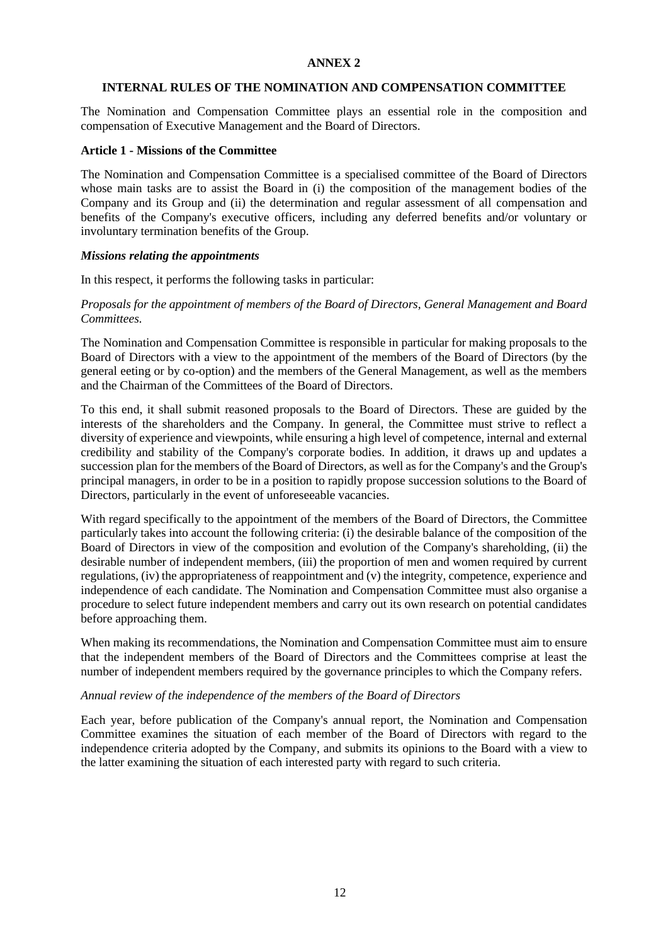### **ANNEX 2**

#### **INTERNAL RULES OF THE NOMINATION AND COMPENSATION COMMITTEE**

The Nomination and Compensation Committee plays an essential role in the composition and compensation of Executive Management and the Board of Directors.

#### **Article 1 - Missions of the Committee**

The Nomination and Compensation Committee is a specialised committee of the Board of Directors whose main tasks are to assist the Board in (i) the composition of the management bodies of the Company and its Group and (ii) the determination and regular assessment of all compensation and benefits of the Company's executive officers, including any deferred benefits and/or voluntary or involuntary termination benefits of the Group.

#### *Missions relating the appointments*

In this respect, it performs the following tasks in particular:

*Proposals for the appointment of members of the Board of Directors, General Management and Board Committees.*

The Nomination and Compensation Committee is responsible in particular for making proposals to the Board of Directors with a view to the appointment of the members of the Board of Directors (by the general eeting or by co-option) and the members of the General Management, as well as the members and the Chairman of the Committees of the Board of Directors.

To this end, it shall submit reasoned proposals to the Board of Directors. These are guided by the interests of the shareholders and the Company. In general, the Committee must strive to reflect a diversity of experience and viewpoints, while ensuring a high level of competence, internal and external credibility and stability of the Company's corporate bodies. In addition, it draws up and updates a succession plan for the members of the Board of Directors, as well as for the Company's and the Group's principal managers, in order to be in a position to rapidly propose succession solutions to the Board of Directors, particularly in the event of unforeseeable vacancies.

With regard specifically to the appointment of the members of the Board of Directors, the Committee particularly takes into account the following criteria: (i) the desirable balance of the composition of the Board of Directors in view of the composition and evolution of the Company's shareholding, (ii) the desirable number of independent members, (iii) the proportion of men and women required by current regulations, (iv) the appropriateness of reappointment and (v) the integrity, competence, experience and independence of each candidate. The Nomination and Compensation Committee must also organise a procedure to select future independent members and carry out its own research on potential candidates before approaching them.

When making its recommendations, the Nomination and Compensation Committee must aim to ensure that the independent members of the Board of Directors and the Committees comprise at least the number of independent members required by the governance principles to which the Company refers.

#### *Annual review of the independence of the members of the Board of Directors*

Each year, before publication of the Company's annual report, the Nomination and Compensation Committee examines the situation of each member of the Board of Directors with regard to the independence criteria adopted by the Company, and submits its opinions to the Board with a view to the latter examining the situation of each interested party with regard to such criteria.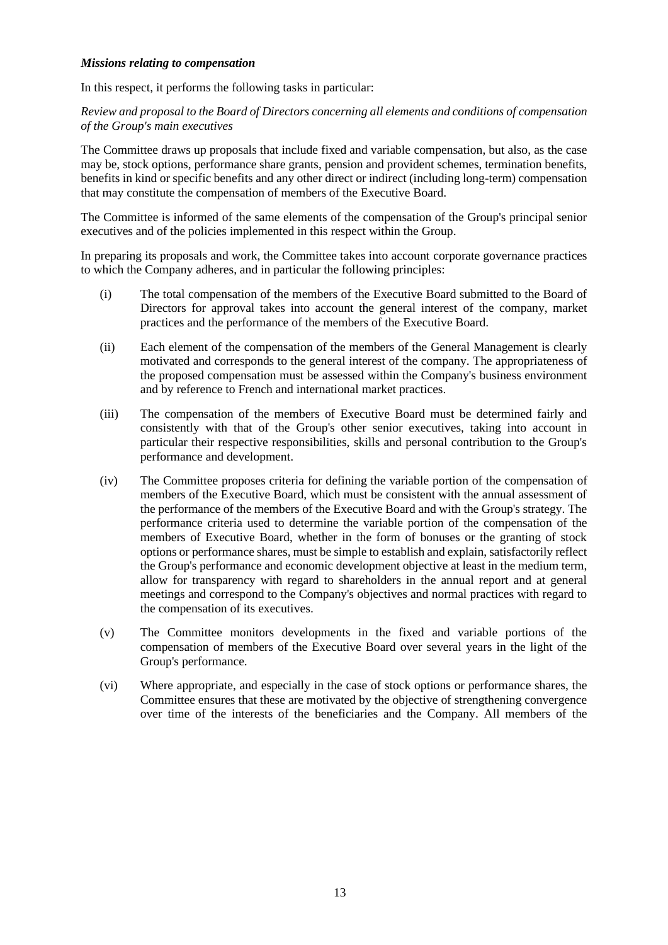#### *Missions relating to compensation*

In this respect, it performs the following tasks in particular:

*Review and proposal to the Board of Directors concerning all elements and conditions of compensation of the Group's main executives*

The Committee draws up proposals that include fixed and variable compensation, but also, as the case may be, stock options, performance share grants, pension and provident schemes, termination benefits, benefits in kind or specific benefits and any other direct or indirect (including long-term) compensation that may constitute the compensation of members of the Executive Board.

The Committee is informed of the same elements of the compensation of the Group's principal senior executives and of the policies implemented in this respect within the Group.

In preparing its proposals and work, the Committee takes into account corporate governance practices to which the Company adheres, and in particular the following principles:

- (i) The total compensation of the members of the Executive Board submitted to the Board of Directors for approval takes into account the general interest of the company, market practices and the performance of the members of the Executive Board.
- (ii) Each element of the compensation of the members of the General Management is clearly motivated and corresponds to the general interest of the company. The appropriateness of the proposed compensation must be assessed within the Company's business environment and by reference to French and international market practices.
- (iii) The compensation of the members of Executive Board must be determined fairly and consistently with that of the Group's other senior executives, taking into account in particular their respective responsibilities, skills and personal contribution to the Group's performance and development.
- (iv) The Committee proposes criteria for defining the variable portion of the compensation of members of the Executive Board, which must be consistent with the annual assessment of the performance of the members of the Executive Board and with the Group's strategy. The performance criteria used to determine the variable portion of the compensation of the members of Executive Board, whether in the form of bonuses or the granting of stock options or performance shares, must be simple to establish and explain, satisfactorily reflect the Group's performance and economic development objective at least in the medium term, allow for transparency with regard to shareholders in the annual report and at general meetings and correspond to the Company's objectives and normal practices with regard to the compensation of its executives.
- (v) The Committee monitors developments in the fixed and variable portions of the compensation of members of the Executive Board over several years in the light of the Group's performance.
- (vi) Where appropriate, and especially in the case of stock options or performance shares, the Committee ensures that these are motivated by the objective of strengthening convergence over time of the interests of the beneficiaries and the Company. All members of the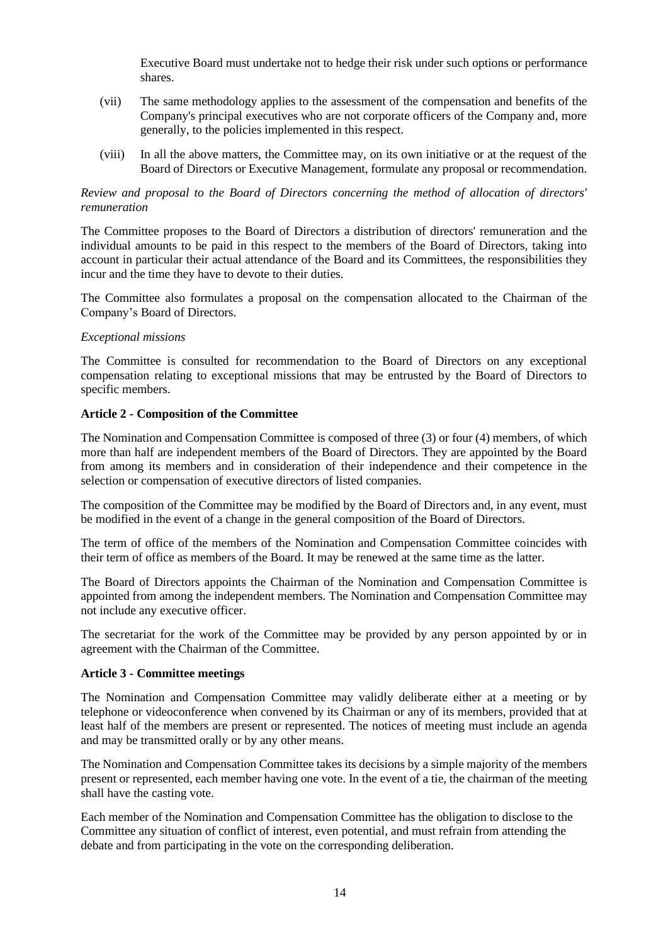Executive Board must undertake not to hedge their risk under such options or performance shares.

- (vii) The same methodology applies to the assessment of the compensation and benefits of the Company's principal executives who are not corporate officers of the Company and, more generally, to the policies implemented in this respect.
- (viii) In all the above matters, the Committee may, on its own initiative or at the request of the Board of Directors or Executive Management, formulate any proposal or recommendation.

### *Review and proposal to the Board of Directors concerning the method of allocation of directors' remuneration*

The Committee proposes to the Board of Directors a distribution of directors' remuneration and the individual amounts to be paid in this respect to the members of the Board of Directors, taking into account in particular their actual attendance of the Board and its Committees, the responsibilities they incur and the time they have to devote to their duties.

The Committee also formulates a proposal on the compensation allocated to the Chairman of the Company's Board of Directors.

### *Exceptional missions*

The Committee is consulted for recommendation to the Board of Directors on any exceptional compensation relating to exceptional missions that may be entrusted by the Board of Directors to specific members.

## **Article 2 - Composition of the Committee**

The Nomination and Compensation Committee is composed of three (3) or four (4) members, of which more than half are independent members of the Board of Directors. They are appointed by the Board from among its members and in consideration of their independence and their competence in the selection or compensation of executive directors of listed companies.

The composition of the Committee may be modified by the Board of Directors and, in any event, must be modified in the event of a change in the general composition of the Board of Directors.

The term of office of the members of the Nomination and Compensation Committee coincides with their term of office as members of the Board. It may be renewed at the same time as the latter.

The Board of Directors appoints the Chairman of the Nomination and Compensation Committee is appointed from among the independent members. The Nomination and Compensation Committee may not include any executive officer.

The secretariat for the work of the Committee may be provided by any person appointed by or in agreement with the Chairman of the Committee.

### **Article 3 - Committee meetings**

The Nomination and Compensation Committee may validly deliberate either at a meeting or by telephone or videoconference when convened by its Chairman or any of its members, provided that at least half of the members are present or represented. The notices of meeting must include an agenda and may be transmitted orally or by any other means.

The Nomination and Compensation Committee takes its decisions by a simple majority of the members present or represented, each member having one vote. In the event of a tie, the chairman of the meeting shall have the casting vote.

Each member of the Nomination and Compensation Committee has the obligation to disclose to the Committee any situation of conflict of interest, even potential, and must refrain from attending the debate and from participating in the vote on the corresponding deliberation.